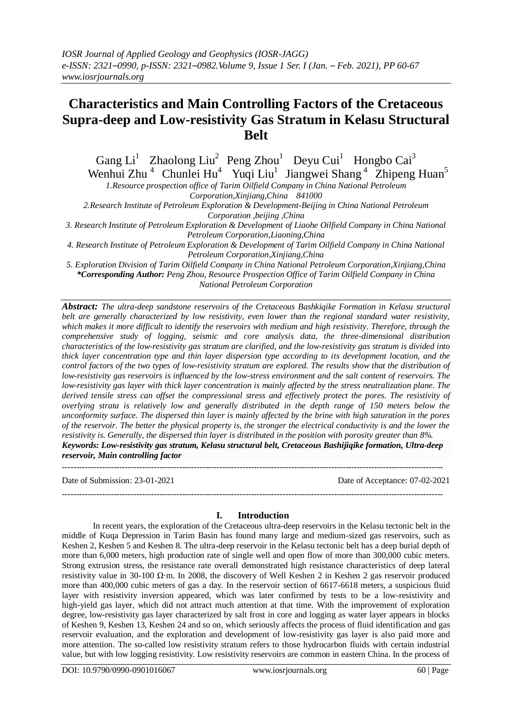# **Characteristics and Main Controlling Factors of the Cretaceous Supra-deep and Low-resistivity Gas Stratum in Kelasu Structural Belt**

Gang Li<sup>1</sup> Zhaolong Liu<sup>2</sup> Peng Zhou<sup>1</sup> Deyu Cui<sup>1</sup> Hongbo Cai<sup>3</sup> Wenhui Zhu<sup>4</sup> Chunlei Hu<sup>4</sup> Yuqi Liu<sup>1</sup> Jiangwei Shang <sup>4</sup> Zhipeng Huan<sup>5</sup> *1.Resource prospection office of Tarim Oilfield Company in China National Petroleum Corporation,Xinjiang,China 841000 2.Research Institute of Petroleum [Exploration & Development-Beijing in China National Petroleum](http://10.79.0.44/kcms/detail/search.aspx?dbcode=CJFQ&sfield=inst&skey=%e4%b8%ad%e5%9b%bd%e7%9f%b3%e6%b2%b9%e5%8b%98%e6%8e%a2%e5%bc%80%e5%8f%91%e7%a0%94%e7%a9%b6%e9%99%a2&code=0164466;1557580;1034560;)  [Corporation](http://10.79.0.44/kcms/detail/search.aspx?dbcode=CJFQ&sfield=inst&skey=%e4%b8%ad%e5%9b%bd%e7%9f%b3%e6%b2%b9%e5%8b%98%e6%8e%a2%e5%bc%80%e5%8f%91%e7%a0%94%e7%a9%b6%e9%99%a2&code=0164466;1557580;1034560;) ,beijing ,China 3. Research Institute of Petroleum Exploration & Development of Liaohe Oilfield Company in China National Petroleum Corporation,Liaoning,China 4. Research Institute of Petroleum Exploration & Development of Tarim Oilfield Company in China National Petroleum Corporation,Xinjiang,China 5. Exploration Division of Tarim Oilfield Company in China National Petroleum Corporation,Xinjiang,China \*Corresponding Author: Peng Zhou, Resource Prospection Office of Tarim Oilfield Company in China National Petroleum Corporation*

*Abstract: The ultra-deep sandstone reservoirs of the Cretaceous Bashkiqike Formation in Kelasu structural belt are generally characterized by low resistivity, even lower than the regional standard water resistivity, which makes it more difficult to identify the reservoirs with medium and high resistivity. Therefore, through the comprehensive study of logging, seismic and core analysis data, the three-dimensional distribution characteristics of the low-resistivity gas stratum are clarified, and the low-resistivity gas stratum is divided into thick layer concentration type and thin layer dispersion type according to its development location, and the control factors of the two types of low-resistivity stratum are explored. The results show that the distribution of low-resistivity gas reservoirs is influenced by the low-stress environment and the salt content of reservoirs. The low-resistivity gas layer with thick layer concentration is mainly affected by the stress neutralization plane. The derived tensile stress can offset the compressional stress and effectively protect the pores. The resistivity of overlying strata is relatively low and generally distributed in the depth range of 150 meters below the unconformity surface. The dispersed thin layer is mainly affected by the brine with high saturation in the pores of the reservoir. The better the physical property is, the stronger the electrical conductivity is and the lower the resistivity is. Generally, the dispersed thin layer is distributed in the position with porosity greater than 8%. Keywords: Low-resistivity gas stratum, Kelasu structural belt, Cretaceous Bashijiqike formation, Ultra-deep reservoir, Main controlling factor*

Date of Submission: 23-01-2021 Date of Acceptance: 07-02-2021

#### **I. Introduction**

-------------------------------------------------------------------------------------------------------------------------------------

-------------------------------------------------------------------------------------------------------------------------------------

In recent years, the exploration of the Cretaceous ultra-deep reservoirs in the Kelasu tectonic belt in the middle of Kuqa Depression in Tarim Basin has found many large and medium-sized gas reservoirs, such as Keshen 2, Keshen 5 and Keshen 8. The ultra-deep reservoir in the Kelasu tectonic belt has a deep burial depth of more than 6,000 meters, high production rate of single well and open flow of more than 300,000 cubic meters. Strong extrusion stress, the resistance rate overall demonstrated high resistance characteristics of deep lateral resistivity value in 30-100  $\Omega$ ·m. In 2008, the discovery of Well Keshen 2 in Keshen 2 gas reservoir produced more than 400,000 cubic meters of gas a day. In the reservoir section of 6617-6618 meters, a suspicious fluid layer with resistivity inversion appeared, which was later confirmed by tests to be a low-resistivity and high-yield gas layer, which did not attract much attention at that time. With the improvement of exploration degree, low-resistivity gas layer characterized by salt frost in core and logging as water layer appears in blocks of Keshen 9, Keshen 13, Keshen 24 and so on, which seriously affects the process of fluid identification and gas reservoir evaluation, and the exploration and development of low-resistivity gas layer is also paid more and more attention. The so-called low resistivity stratum refers to those hydrocarbon fluids with certain industrial value, but with low logging resistivity. Low resistivity reservoirs are common in eastern China. In the process of

DOI: 10.9790/0990-0901016067 www.iosrjournals.org 60 | Page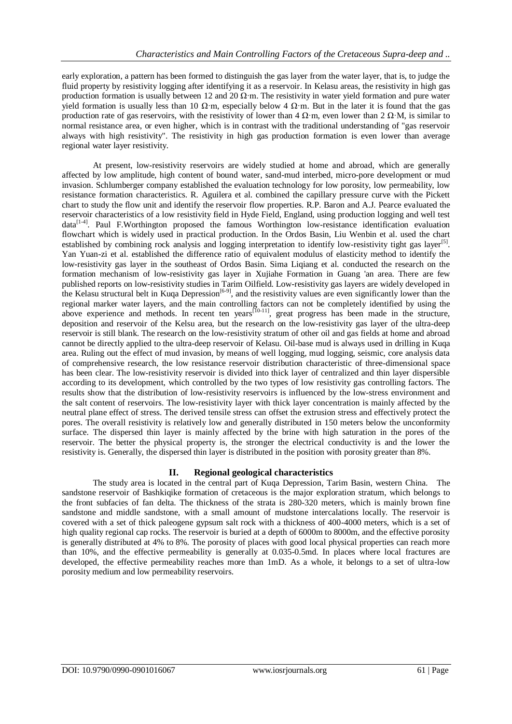early exploration, a pattern has been formed to distinguish the gas layer from the water layer, that is, to judge the fluid property by resistivity logging after identifying it as a reservoir. In Kelasu areas, the resistivity in high gas production formation is usually between 12 and 20  $\Omega$ ·m. The resistivity in water yield formation and pure water yield formation is usually less than 10 Ω·m, especially below 4 Ω·m. But in the later it is found that the gas production rate of gas reservoirs, with the resistivity of lower than 4  $\Omega$ ·m, even lower than 2  $\Omega$ ·M, is similar to normal resistance area, or even higher, which is in contrast with the traditional understanding of "gas reservoir always with high resistivity". The resistivity in high gas production formation is even lower than average regional water layer resistivity.

At present, low-resistivity reservoirs are widely studied at home and abroad, which are generally affected by low amplitude, high content of bound water, sand-mud interbed, micro-pore development or mud invasion. Schlumberger company established the evaluation technology for low porosity, low permeability, low resistance formation characteristics. R. Aguilera et al. combined the capillary pressure curve with the Pickett chart to study the flow unit and identify the reservoir flow properties. R.P. Baron and A.J. Pearce evaluated the reservoir characteristics of a low resistivity field in Hyde Field, England, using production logging and well test  $data^{[14]}$ . Paul F.Worthington proposed the famous Worthington low-resistance identification evaluation flowchart which is widely used in practical production. In the Ordos Basin, Liu Wenbin et al. used the chart established by combining rock analysis and logging interpretation to identify low-resistivity tight gas layer<sup>[5]</sup>. Yan Yuan-zi et al. established the difference ratio of equivalent modulus of elasticity method to identify the low-resistivity gas layer in the southeast of Ordos Basin. Sima Liqiang et al. conducted the research on the formation mechanism of low-resistivity gas layer in Xujiahe Formation in Guang 'an area. There are few published reports on low-resistivity studies in Tarim Oilfield. Low-resistivity gas layers are widely developed in the Kelasu structural belt in Kuqa Depression<sup>[6-9]</sup>, and the resistivity values are even significantly lower than the regional marker water layers, and the main controlling factors can not be completely identified by using the above experience and methods. In recent ten years<sup>[10-11]</sup>, great progress has been made in the structure, deposition and reservoir of the Kelsu area, but the research on the low-resistivity gas layer of the ultra-deep reservoir is still blank. The research on the low-resistivity stratum of other oil and gas fields at home and abroad cannot be directly applied to the ultra-deep reservoir of Kelasu. Oil-base mud is always used in drilling in Kuqa area. Ruling out the effect of mud invasion, by means of well logging, mud logging, seismic, core analysis data of comprehensive research, the low resistance reservoir distribution characteristic of three-dimensional space has been clear. The low-resistivity reservoir is divided into thick layer of centralized and thin layer dispersible according to its development, which controlled by the two types of low resistivity gas controlling factors. The results show that the distribution of low-resistivity reservoirs is influenced by the low-stress environment and the salt content of reservoirs. The low-resistivity layer with thick layer concentration is mainly affected by the neutral plane effect of stress. The derived tensile stress can offset the extrusion stress and effectively protect the pores. The overall resistivity is relatively low and generally distributed in 150 meters below the unconformity surface. The dispersed thin layer is mainly affected by the brine with high saturation in the pores of the reservoir. The better the physical property is, the stronger the electrical conductivity is and the lower the resistivity is. Generally, the dispersed thin layer is distributed in the position with porosity greater than 8%.

# **II. Regional geological characteristics**

The study area is located in the central part of Kuqa Depression, Tarim Basin, western China. The sandstone reservoir of Bashkiqike formation of cretaceous is the major exploration stratum, which belongs to the front subfacies of fan delta. The thickness of the strata is 280-320 meters, which is mainly brown fine sandstone and middle sandstone, with a small amount of mudstone intercalations locally. The reservoir is covered with a set of thick paleogene gypsum salt rock with a thickness of 400-4000 meters, which is a set of high quality regional cap rocks. The reservoir is buried at a depth of 6000m to 8000m, and the effective porosity is generally distributed at 4% to 8%. The porosity of places with good local physical properties can reach more than 10%, and the effective permeability is generally at 0.035-0.5md. In places where local fractures are developed, the effective permeability reaches more than 1mD. As a whole, it belongs to a set of ultra-low porosity medium and low permeability reservoirs.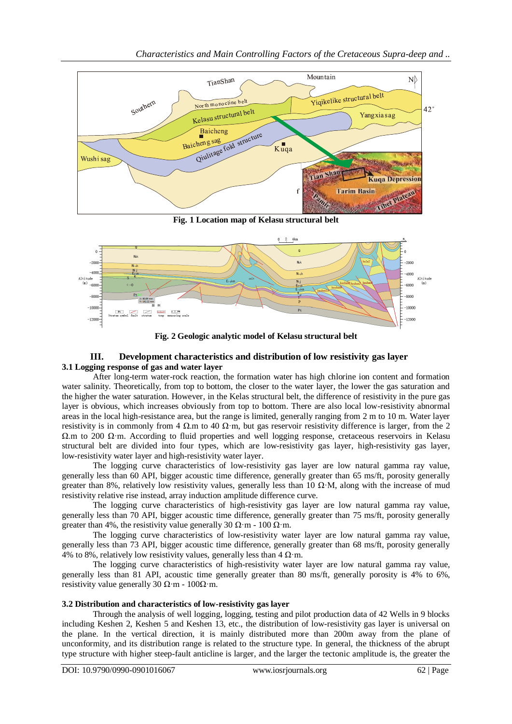

**Fig. 1 Location map of Kelasu structural belt**



**Fig. 2 Geologic analytic model of Kelasu structural belt**

### **III. Development characteristics and distribution of low resistivity gas layer 3.1 Logging response of gas and water layer**

After long-term water-rock reaction, the formation water has high chlorine ion content and formation water salinity. Theoretically, from top to bottom, the closer to the water layer, the lower the gas saturation and the higher the water saturation. However, in the Kelas structural belt, the difference of resistivity in the pure gas layer is obvious, which increases obviously from top to bottom. There are also local low-resistivity abnormal areas in the local high-resistance area, but the range is limited, generally ranging from 2 m to 10 m. Water layer resistivity is in commonly from 4  $\Omega$ .m to 40  $\Omega$ ·m, but gas reservoir resistivity difference is larger, from the 2 Ω.m to 200 Ω·m. According to fluid properties and well logging response, cretaceous reservoirs in Kelasu structural belt are divided into four types, which are low-resistivity gas layer, high-resistivity gas layer, low-resistivity water layer and high-resistivity water layer.

The logging curve characteristics of low-resistivity gas layer are low natural gamma ray value, generally less than 60 API, bigger acoustic time difference, generally greater than 65 ms/ft, porosity generally greater than 8%, relatively low resistivity values, generally less than 10  $\Omega$  M, along with the increase of mud resistivity relative rise instead, array induction amplitude difference curve.

The logging curve characteristics of high-resistivity gas layer are low natural gamma ray value, generally less than 70 API, bigger acoustic time difference, generally greater than 75 ms/ft, porosity generally greater than 4%, the resistivity value generally 30  $\Omega$  m - 100  $\Omega$  m.

The logging curve characteristics of low-resistivity water layer are low natural gamma ray value, generally less than 73 API, bigger acoustic time difference, generally greater than 68 ms/ft, porosity generally 4% to 8%, relatively low resistivity values, generally less than  $4 \Omega$ ·m.

The logging curve characteristics of high-resistivity water layer are low natural gamma ray value, generally less than 81 API, acoustic time generally greater than 80 ms/ft, generally porosity is 4% to 6%, resistivity value generally 30  $\Omega$ ·m - 100 $\Omega$ ·m.

# **3.2 Distribution and characteristics of low-resistivity gas layer**

Through the analysis of well logging, logging, testing and pilot production data of 42 Wells in 9 blocks including Keshen 2, Keshen 5 and Keshen 13, etc., the distribution of low-resistivity gas layer is universal on the plane. In the vertical direction, it is mainly distributed more than 200m away from the plane of unconformity, and its distribution range is related to the structure type. In general, the thickness of the abrupt type structure with higher steep-fault anticline is larger, and the larger the tectonic amplitude is, the greater the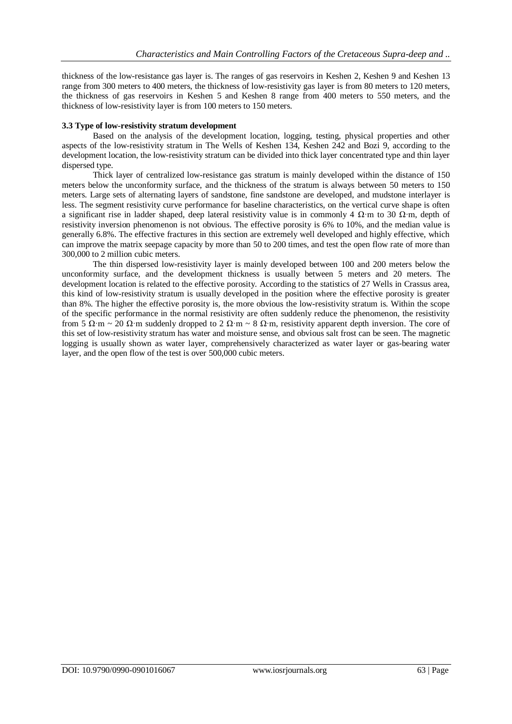thickness of the low-resistance gas layer is. The ranges of gas reservoirs in Keshen 2, Keshen 9 and Keshen 13 range from 300 meters to 400 meters, the thickness of low-resistivity gas layer is from 80 meters to 120 meters, the thickness of gas reservoirs in Keshen 5 and Keshen 8 range from 400 meters to 550 meters, and the thickness of low-resistivity layer is from 100 meters to 150 meters.

#### **3.3 Type of low-resistivity stratum development**

Based on the analysis of the development location, logging, testing, physical properties and other aspects of the low-resistivity stratum in The Wells of Keshen 134, Keshen 242 and Bozi 9, according to the development location, the low-resistivity stratum can be divided into thick layer concentrated type and thin layer dispersed type.

Thick layer of centralized low-resistance gas stratum is mainly developed within the distance of 150 meters below the unconformity surface, and the thickness of the stratum is always between 50 meters to 150 meters. Large sets of alternating layers of sandstone, fine sandstone are developed, and mudstone interlayer is less. The segment resistivity curve performance for baseline characteristics, on the vertical curve shape is often a significant rise in ladder shaped, deep lateral resistivity value is in commonly 4  $\Omega$  m to 30  $\Omega$  m, depth of resistivity inversion phenomenon is not obvious. The effective porosity is 6% to 10%, and the median value is generally 6.8%. The effective fractures in this section are extremely well developed and highly effective, which can improve the matrix seepage capacity by more than 50 to 200 times, and test the open flow rate of more than 300,000 to 2 million cubic meters.

The thin dispersed low-resistivity layer is mainly developed between 100 and 200 meters below the unconformity surface, and the development thickness is usually between 5 meters and 20 meters. The development location is related to the effective porosity. According to the statistics of 27 Wells in Crassus area, this kind of low-resistivity stratum is usually developed in the position where the effective porosity is greater than 8%. The higher the effective porosity is, the more obvious the low-resistivity stratum is. Within the scope of the specific performance in the normal resistivity are often suddenly reduce the phenomenon, the resistivity from 5  $\Omega$ ·m ~ 20  $\Omega$ ·m suddenly dropped to 2  $\Omega$ ·m ~ 8  $\Omega$ ·m, resistivity apparent depth inversion. The core of this set of low-resistivity stratum has water and moisture sense, and obvious salt frost can be seen. The magnetic logging is usually shown as water layer, comprehensively characterized as water layer or gas-bearing water layer, and the open flow of the test is over 500,000 cubic meters.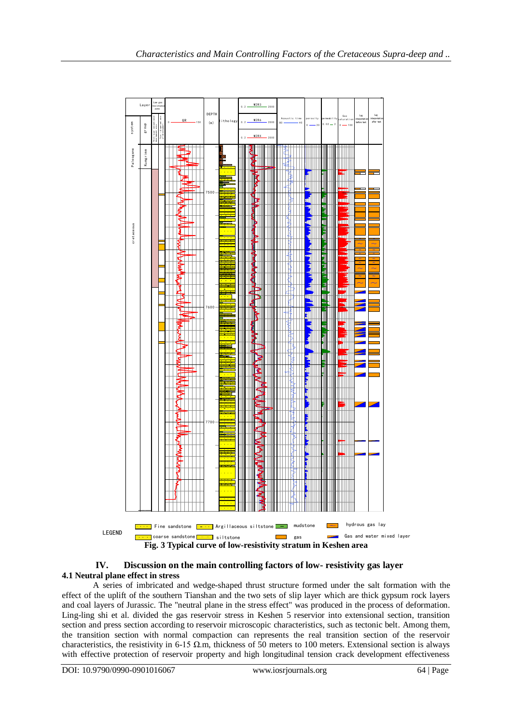

#### **IV. Discussion on the main controlling factors of low- resistivity gas layer 4.1 Neutral plane effect in stress**

A series of imbricated and wedge-shaped thrust structure formed under the salt formation with the effect of the uplift of the southern Tianshan and the two sets of slip layer which are thick gypsum rock layers and coal layers of Jurassic. The "neutral plane in the stress effect" was produced in the process of deformation. Ling-ling shi et al. divided the gas reservoir stress in Keshen 5 reservior into extensional section, transition section and press section according to reservoir microscopic characteristics, such as tectonic belt. Among them, the transition section with normal compaction can represents the real transition section of the reservoir characteristics, the resistivity in 6-15  $\Omega$ .m, thickness of 50 meters to 100 meters. Extensional section is always with effective protection of reservoir property and high longitudinal tension crack development effectiveness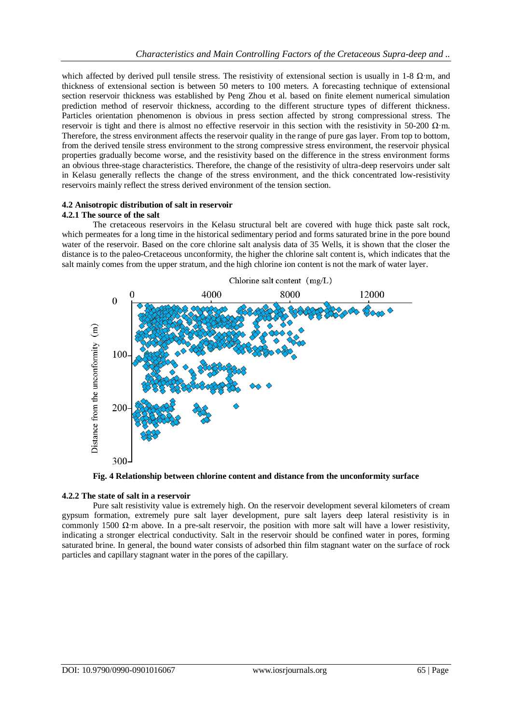which affected by derived pull tensile stress. The resistivity of extensional section is usually in 1-8  $\Omega$ ·m, and thickness of extensional section is between 50 meters to 100 meters. A forecasting technique of extensional section reservoir thickness was established by Peng Zhou et al. based on finite element numerical simulation prediction method of reservoir thickness, according to the different structure types of different thickness. Particles orientation phenomenon is obvious in press section affected by strong compressional stress. The reservoir is tight and there is almost no effective reservoir in this section with the resistivity in 50-200  $\Omega$ ·m. Therefore, the stress environment affects the reservoir quality in the range of pure gas layer. From top to bottom, from the derived tensile stress environment to the strong compressive stress environment, the reservoir physical properties gradually become worse, and the resistivity based on the difference in the stress environment forms an obvious three-stage characteristics. Therefore, the change of the resistivity of ultra-deep reservoirs under salt in Kelasu generally reflects the change of the stress environment, and the thick concentrated low-resistivity reservoirs mainly reflect the stress derived environment of the tension section.

#### **4.2 Anisotropic distribution of salt in reservoir**

#### **4.2.1 The source of the salt**

The cretaceous reservoirs in the Kelasu structural belt are covered with huge thick paste salt rock, which permeates for a long time in the historical sedimentary period and forms saturated brine in the pore bound water of the reservoir. Based on the core chlorine salt analysis data of 35 Wells, it is shown that the closer the distance is to the paleo-Cretaceous unconformity, the higher the chlorine salt content is, which indicates that the salt mainly comes from the upper stratum, and the high chlorine ion content is not the mark of water layer.



**Fig. 4 Relationship between chlorine content and distance from the unconformity surface**

#### **4.2.2 The state of salt in a reservoir**

Pure salt resistivity value is extremely high. On the reservoir development several kilometers of cream gypsum formation, extremely pure salt layer development, pure salt layers deep lateral resistivity is in commonly 1500  $\Omega$  m above. In a pre-salt reservoir, the position with more salt will have a lower resistivity, indicating a stronger electrical conductivity. Salt in the reservoir should be confined water in pores, forming saturated brine. In general, the bound water consists of adsorbed thin film stagnant water on the surface of rock particles and capillary stagnant water in the pores of the capillary.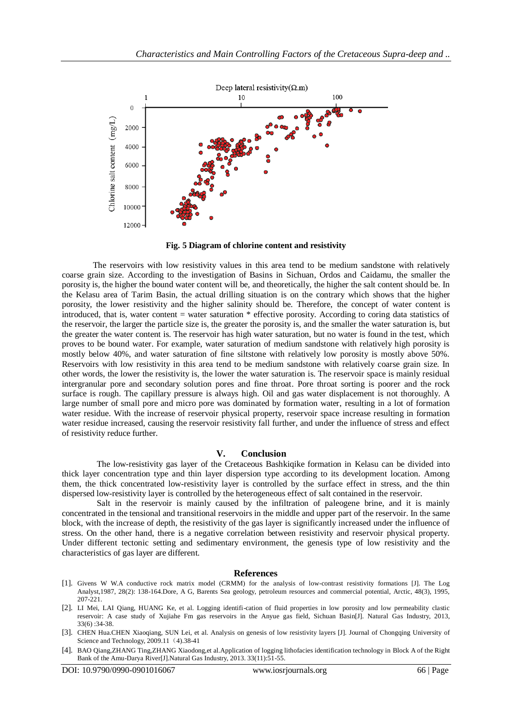

**Fig. 5 Diagram of chlorine content and resistivity**

The reservoirs with low resistivity values in this area tend to be medium sandstone with relatively coarse grain size. According to the investigation of Basins in Sichuan, Ordos and Caidamu, the smaller the porosity is, the higher the bound water content will be, and theoretically, the higher the salt content should be. In the Kelasu area of Tarim Basin, the actual drilling situation is on the contrary which shows that the higher porosity, the lower resistivity and the higher salinity should be. Therefore, the concept of water content is introduced, that is, water content = water saturation \* effective porosity. According to coring data statistics of the reservoir, the larger the particle size is, the greater the porosity is, and the smaller the water saturation is, but the greater the water content is. The reservoir has high water saturation, but no water is found in the test, which proves to be bound water. For example, water saturation of medium sandstone with relatively high porosity is mostly below 40%, and water saturation of fine siltstone with relatively low porosity is mostly above 50%. Reservoirs with low resistivity in this area tend to be medium sandstone with relatively coarse grain size. In other words, the lower the resistivity is, the lower the water saturation is. The reservoir space is mainly residual intergranular pore and secondary solution pores and fine throat. Pore throat sorting is poorer and the rock surface is rough. The capillary pressure is always high. Oil and gas water displacement is not thoroughly. A large number of small pore and micro pore was dominated by formation water, resulting in a lot of formation water residue. With the increase of reservoir physical property, reservoir space increase resulting in formation water residue increased, causing the reservoir resistivity fall further, and under the influence of stress and effect of resistivity reduce further.

#### **V. Conclusion**

The low-resistivity gas layer of the Cretaceous Bashkiqike formation in Kelasu can be divided into thick layer concentration type and thin layer dispersion type according to its development location. Among them, the thick concentrated low-resistivity layer is controlled by the surface effect in stress, and the thin dispersed low-resistivity layer is controlled by the heterogeneous effect of salt contained in the reservoir.

Salt in the reservoir is mainly caused by the infiltration of paleogene brine, and it is mainly concentrated in the tensional and transitional reservoirs in the middle and upper part of the reservoir. In the same block, with the increase of depth, the resistivity of the gas layer is significantly increased under the influence of stress. On the other hand, there is a negative correlation between resistivity and reservoir physical property. Under different tectonic setting and sedimentary environment, the genesis type of low resistivity and the characteristics of gas layer are different.

#### **References**

- [1]. Givens W W.A conductive rock matrix model (CRMM) for the analysis of low-contrast resistivity formations [J]. The Log Analyst,1987, 28(2): 138-164.Dore, A G, Barents Sea geology, petroleum resources and commercial potential, Arctic, 48(3), 1995, 207-221.
- [2]. LI Mei, LAI Qiang, HUANG Ke, et al. Logging identifi-cation of fluid properties in low porosity and low permeability clastic reservoir: A case study of Xujiahe Fm gas reservoirs in the Anyue gas field, Sichuan Basin[J]. Natural Gas Industry, 2013, 33(6) :34-38.
- [3]. CHEN Hua.CHEN Xiaoqiang, SUN Lei, et al. Analysis on genesis of low resistivity layers [J]. Journal of Chongqing University of Science and Technology, 2009.11 (4).38-41
- [4]. BAO Qiang,ZHANG Ting,ZHANG Xiaodong,et al.Application of logging lithofacies identification technology in Block A of the Right Bank of the Amu-Darya River[J].Natural Gas Industry, 2013. 33(11):51-55.

DOI: 10.9790/0990-0901016067 www.iosrjournals.org 66 | Page